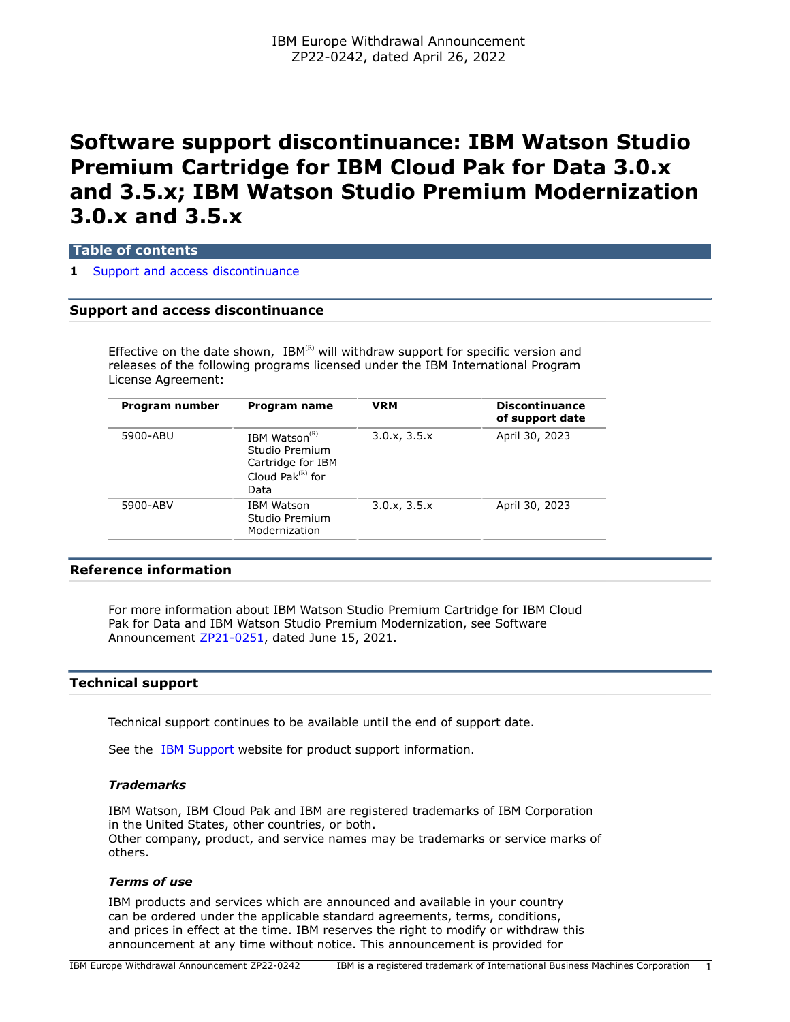# **Software support discontinuance: IBM Watson Studio Premium Cartridge for IBM Cloud Pak for Data 3.0.x and 3.5.x; IBM Watson Studio Premium Modernization 3.0.x and 3.5.x**

**Table of contents**

#### **1** [Support and access discontinuance](#page-0-0)

# <span id="page-0-0"></span>**Support and access discontinuance**

Effective on the date shown,  $IBM^{(R)}$  will withdraw support for specific version and releases of the following programs licensed under the IBM International Program License Agreement:

| Program number | Program name                                                                              | <b>VRM</b>   | <b>Discontinuance</b><br>of support date |
|----------------|-------------------------------------------------------------------------------------------|--------------|------------------------------------------|
| 5900-ABU       | IBM Watson $(R)$<br>Studio Premium<br>Cartridge for IBM<br>Cloud Pak $^{(R)}$ for<br>Data | 3.0.x, 3.5.x | April 30, 2023                           |
| 5900-ABV       | IBM Watson<br>Studio Premium<br>Modernization                                             | 3.0.x, 3.5.x | April 30, 2023                           |

# **Reference information**

For more information about IBM Watson Studio Premium Cartridge for IBM Cloud Pak for Data and IBM Watson Studio Premium Modernization, see Software Announcement [ZP21-0251,](http://www.ibm.com/common/ssi/cgi-bin/ssialias?infotype=an&subtype=ca&appname=gpateam&supplier=877&letternum=ENUSZP21-0251) dated June 15, 2021.

### **Technical support**

Technical support continues to be available until the end of support date.

See the [IBM Support](https://www.ibm.com/support) website for product support information.

#### *Trademarks*

IBM Watson, IBM Cloud Pak and IBM are registered trademarks of IBM Corporation in the United States, other countries, or both. Other company, product, and service names may be trademarks or service marks of others.

#### *Terms of use*

IBM products and services which are announced and available in your country can be ordered under the applicable standard agreements, terms, conditions, and prices in effect at the time. IBM reserves the right to modify or withdraw this announcement at any time without notice. This announcement is provided for